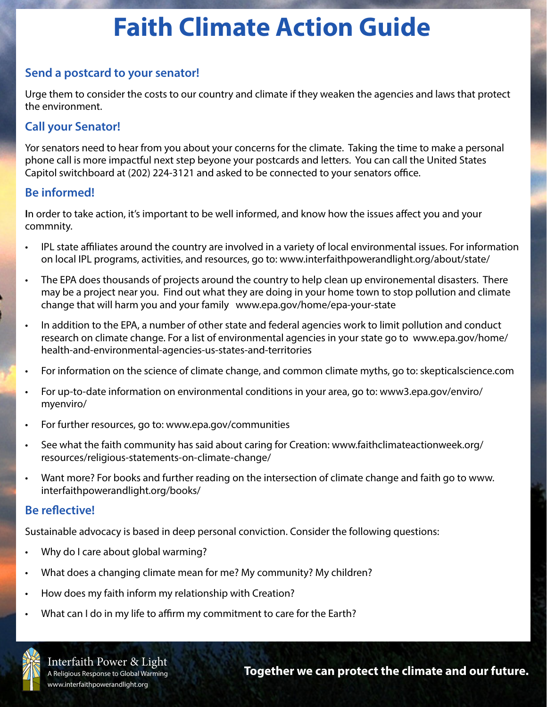# **Faith Climate Action Guide**

## **Send a postcard to your senator!**

Urge them to consider the costs to our country and climate if they weaken the agencies and laws that protect the environment.

## **Call your Senator!**

Yor senators need to hear from you about your concerns for the climate. Taking the time to make a personal phone call is more impactful next step beyone your postcards and letters. You can call the United States Capitol switchboard at (202) 224-3121 and asked to be connected to your senators office.

### **Be informed!**

**I**n order to take action, it's important to be well informed, and know how the issues affect you and your commnity.

- IPL state affiliates around the country are involved in a variety of local environmental issues. For information on local IPL programs, activities, and resources, go to: www.interfaithpowerandlight.org/about/state/
- The EPA does thousands of projects around the country to help clean up environemental disasters. There may be a project near you. Find out what they are doing in your home town to stop pollution and climate change that will harm you and your family www.epa.gov/home/epa-your-state
- In addition to the EPA, a number of other state and federal agencies work to limit pollution and conduct research on climate change. For a list of environmental agencies in your state go to www.epa.gov/home/ health-and-environmental-agencies-us-states-and-territories
- For information on the science of climate change, and common climate myths, go to: skepticalscience.com
- For up-to-date information on environmental conditions in your area, go to: www3.epa.gov/enviro/ myenviro/
- For further resources, go to: www.epa.gov/communities
- See what the faith community has said about caring for Creation: www.faithclimateactionweek.org/ resources/religious-statements-on-climate-change/
- Want more? For books and further reading on the intersection of climate change and faith go to www. interfaithpowerandlight.org/books/

### **Be reflective!**

Sustainable advocacy is based in deep personal conviction. Consider the following questions:

- Why do I care about global warming?
- What does a changing climate mean for me? My community? My children?
- How does my faith inform my relationship with Creation?
- What can I do in my life to affirm my commitment to care for the Earth?



Interfaith Power & Light<br>A Religious Response to Global Warming<br>**Together we can protect the climate and our future.**